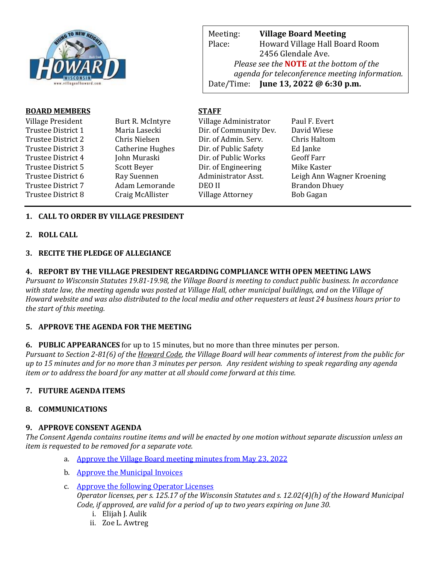

Meeting: **Village Board Meeting** Place: Howard Village Hall Board Room 2456 Glendale Ave. *Please see the* **NOTE** *at the bottom of the agenda for teleconference meeting information.*  Date/Time: **June 13, 2022 @ 6:30 p.m.**

web Page: www.villageoff.com

## **BOARD MEMBERS STAFF**

| Village President  | Burt R. McIntyre | Village Administrator   | Paul F. Evert             |
|--------------------|------------------|-------------------------|---------------------------|
| Trustee District 1 | Maria Lasecki    | Dir. of Community Dev.  | David Wiese               |
| Trustee District 2 | Chris Nielsen    | Dir. of Admin. Serv.    | Chris Haltom              |
| Trustee District 3 | Catherine Hughes | Dir. of Public Safety   | Ed Janke                  |
| Trustee District 4 | John Muraski     | Dir. of Public Works    | <b>Geoff Farr</b>         |
| Trustee District 5 | Scott Beyer      | Dir. of Engineering     | Mike Kaster               |
| Trustee District 6 | Ray Suennen      | Administrator Asst.     | Leigh Ann Wagner Kroening |
| Trustee District 7 | Adam Lemorande   | DEO II                  | <b>Brandon Dhuey</b>      |
| Trustee District 8 | Craig McAllister | <b>Village Attorney</b> | <b>Bob Gagan</b>          |
|                    |                  |                         |                           |

# **1. CALL TO ORDER BY VILLAGE PRESIDENT**

## **2. ROLL CALL**

## **3. RECITE THE PLEDGE OF ALLEGIANCE**

### **4. REPORT BY THE VILLAGE PRESIDENT REGARDING COMPLIANCE WITH OPEN MEETING LAWS**

*Pursuant to Wisconsin Statutes 19.81-19.98, the Village Board is meeting to conduct public business. In accordance with state law, the meeting agenda was posted at Village Hall, other municipal buildings, and on the Village of Howard website and was also distributed to the local media and other requesters at least 24 business hours prior to the start of this meeting.* 

### **5. APPROVE THE AGENDA FOR THE MEETING**

### **6. PUBLIC APPEARANCES** for up to 15 minutes, but no more than three minutes per person.

*Pursuant to Section 2-81(6) of the Howard Code, the Village Board will hear comments of interest from the public for up to 15 minutes and for no more than 3 minutes per person. Any resident wishing to speak regarding any agenda item or to address the board for any matter at all should come forward at this time.* 

### **7. FUTURE AGENDA ITEMS**

### **8. COMMUNICATIONS**

### **9. APPROVE CONSENT AGENDA**

*The Consent Agenda contains routine items and will be enacted by one motion without separate discussion unless an item is requested to be removed for a separate vote.*

- a. [Approve the Village Board meeting minutes from May 23, 2022](https://www.villageofhoward.com/DocumentCenter/View/8396/9a-VB-Minutes-05-23-22)
- b. [Approve the Municipal Invoices](https://www.villageofhoward.com/DocumentCenter/View/8397/9b-municipal-invoices)
- c. [Approve the following Operator Licenses](https://www.villageofhoward.com/DocumentCenter/View/8398/9c-Operator-licenses) *Operator licenses, per s. 125.17 of the Wisconsin Statutes and s. 12.02(4)(h) of the Howard Municipal Code, if approved, are valid for a period of up to two years expiring on June 30.*
	- i. Elijah J. Aulik
	- ii. Zoe L. Awtreg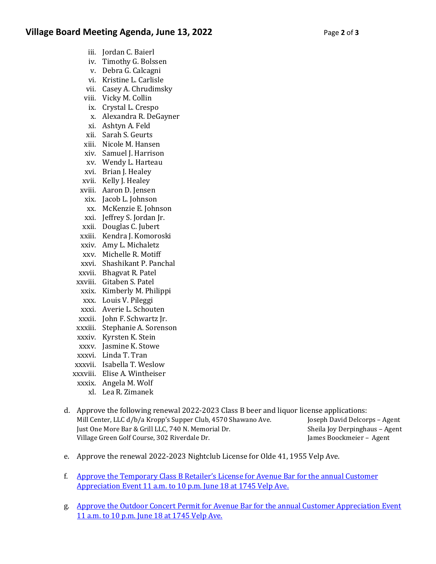- iii. Jordan C. Baierl
- iv. Timothy G. Bolssen
- v. Debra G. Calcagni
- vi. Kristine L. Carlisle
- vii. Casey A. Chrudimsky
- viii. Vicky M. Collin
- ix. Crystal L. Crespo
- x. Alexandra R. DeGayner
- xi. Ashtyn A. Feld
- xii. Sarah S. Geurts
- xiii. Nicole M. Hansen
- xiv. Samuel J. Harrison
- xv. Wendy L. Harteau
- xvi. Brian J. Healey
- xvii. Kelly J. Healey
- xviii. Aaron D. Jensen
- xix. Jacob L. Johnson
- xx. McKenzie E. Johnson
- xxi. Jeffrey S. Jordan Jr.
- xxii. Douglas C. Jubert
- xxiii. Kendra J. Komoroski
- xxiv. Amy L. Michaletz
- xxv. Michelle R. Motiff
- xxvi. Shashikant P. Panchal
- xxvii. Bhagvat R. Patel
- xxviii. Gitaben S. Patel
- xxix. Kimberly M. Philippi
- xxx. Louis V. Pileggi
- xxxi. Averie L. Schouten
- xxxii. John F. Schwartz Jr.
- xxxiii. Stephanie A. Sorenson
- xxxiv. Kyrsten K. Stein
- xxxv. Jasmine K. Stowe
- xxxvi. Linda T. Tran
- xxxvii. Isabella T. Weslow
- xxxviii. Elise A. Wintheiser
- xxxix. Angela M. Wolf
	- xl. Lea R. Zimanek
- d. Approve the following renewal 2022-2023 Class B beer and liquor license applications: Mill Center, LLC d/b/a Kropp's Supper Club, 4570 Shawano Ave. Joseph David Delcorps – Agent Just One More Bar & Grill LLC, 740 N. Memorial Dr. Sheila Joy Derpinghaus – Agent Village Green Golf Course, 302 Riverdale Dr. James Boockmeier - Agent
- e. Approve the renewal 2022-2023 Nightclub License for Olde 41, 1955 Velp Ave.
- f. [Approve the Temporary Class B Retailer's License](https://www.villageofhoward.com/DocumentCenter/View/8399/9f-Avenue-Bar-Temp-Class-B) for Avenue Bar for the annual Customer [Appreciation Event 11 a.m. to 10 p.m. June 18 at 1745 Velp Ave.](https://www.villageofhoward.com/DocumentCenter/View/8399/9f-Avenue-Bar-Temp-Class-B)
- g. [Approve the Outdoor Concert Permit for Avenue Bar for the annual Customer Appreciation Event](https://www.villageofhoward.com/DocumentCenter/View/8400/9g-Avenue-Bar-outdoor-concernt)  [11 a.m. to 10 p.m. June 18 at 1745 Velp Ave.](https://www.villageofhoward.com/DocumentCenter/View/8400/9g-Avenue-Bar-outdoor-concernt)